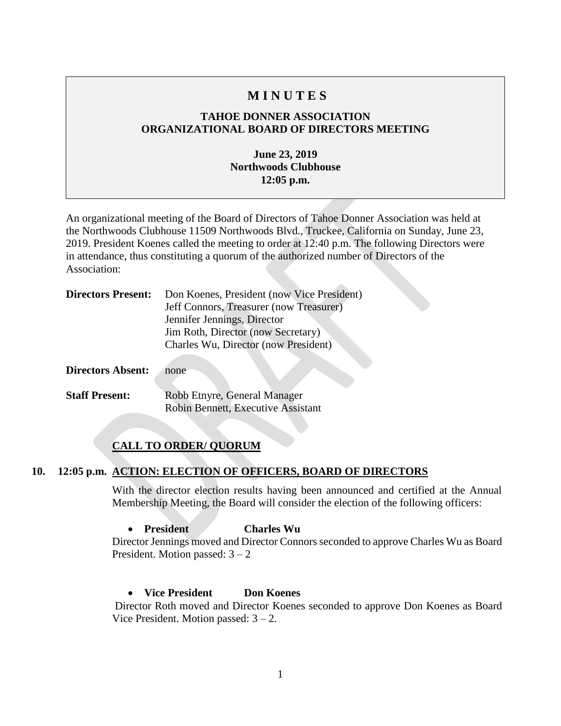### **M I N U T E S**

### **TAHOE DONNER ASSOCIATION ORGANIZATIONAL BOARD OF DIRECTORS MEETING**

### **June 23, 2019 Northwoods Clubhouse 12:05 p.m.**

An organizational meeting of the Board of Directors of Tahoe Donner Association was held at the Northwoods Clubhouse 11509 Northwoods Blvd., Truckee, California on Sunday, June 23, 2019. President Koenes called the meeting to order at 12:40 p.m. The following Directors were in attendance, thus constituting a quorum of the authorized number of Directors of the Association:

|                          | <b>Directors Present:</b> Don Koenes, President (now Vice President)<br>Jeff Connors, Treasurer (now Treasurer) |
|--------------------------|-----------------------------------------------------------------------------------------------------------------|
|                          | Jennifer Jennings, Director                                                                                     |
|                          | Jim Roth, Director (now Secretary)                                                                              |
|                          | Charles Wu, Director (now President)                                                                            |
| <b>Directors Absent:</b> | none                                                                                                            |

**Staff Present:** Robb Etnyre, General Manager Robin Bennett, Executive Assistant

### **CALL TO ORDER/ QUORUM**

### **10. 12:05 p.m. ACTION: ELECTION OF OFFICERS, BOARD OF DIRECTORS**

With the director election results having been announced and certified at the Annual Membership Meeting, the Board will consider the election of the following officers:

### • **President Charles Wu**

Director Jennings moved and Director Connors seconded to approve Charles Wu as Board President. Motion passed: 3 – 2

### • **Vice President Don Koenes**

Director Roth moved and Director Koenes seconded to approve Don Koenes as Board Vice President. Motion passed:  $3 - 2$ .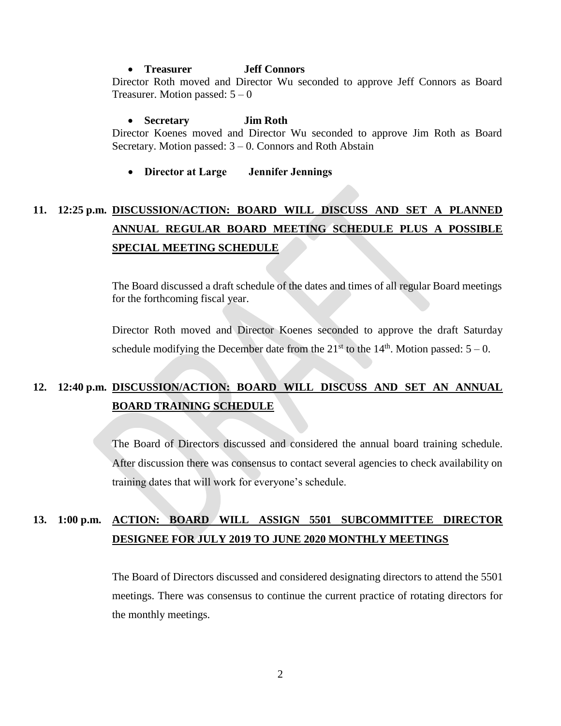#### • **Treasurer Jeff Connors**

Director Roth moved and Director Wu seconded to approve Jeff Connors as Board Treasurer. Motion passed:  $5 - 0$ 

• **Secretary Jim Roth** Director Koenes moved and Director Wu seconded to approve Jim Roth as Board Secretary. Motion passed:  $3 - 0$ . Connors and Roth Abstain

#### • **Director at Large Jennifer Jennings**

# **11. 12:25 p.m. DISCUSSION/ACTION: BOARD WILL DISCUSS AND SET A PLANNED ANNUAL REGULAR BOARD MEETING SCHEDULE PLUS A POSSIBLE SPECIAL MEETING SCHEDULE**

The Board discussed a draft schedule of the dates and times of all regular Board meetings for the forthcoming fiscal year.

Director Roth moved and Director Koenes seconded to approve the draft Saturday schedule modifying the December date from the  $21<sup>st</sup>$  to the  $14<sup>th</sup>$ . Motion passed:  $5-0$ .

# **12. 12:40 p.m. DISCUSSION/ACTION: BOARD WILL DISCUSS AND SET AN ANNUAL BOARD TRAINING SCHEDULE**

The Board of Directors discussed and considered the annual board training schedule. After discussion there was consensus to contact several agencies to check availability on training dates that will work for everyone's schedule.

# **13. 1:00 p.m. ACTION: BOARD WILL ASSIGN 5501 SUBCOMMITTEE DIRECTOR DESIGNEE FOR JULY 2019 TO JUNE 2020 MONTHLY MEETINGS**

The Board of Directors discussed and considered designating directors to attend the 5501 meetings. There was consensus to continue the current practice of rotating directors for the monthly meetings.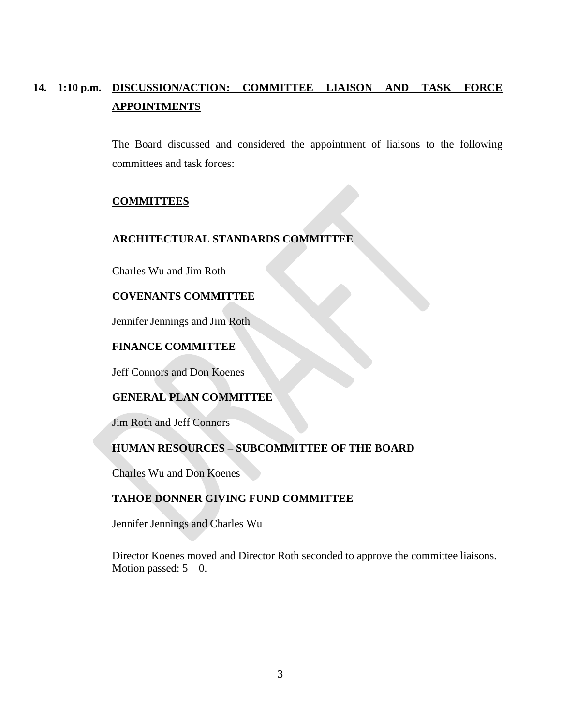# **14. 1:10 p.m. DISCUSSION/ACTION: COMMITTEE LIAISON AND TASK FORCE APPOINTMENTS**

The Board discussed and considered the appointment of liaisons to the following committees and task forces:

### **COMMITTEES**

### **ARCHITECTURAL STANDARDS COMMITTEE**

Charles Wu and Jim Roth

#### **COVENANTS COMMITTEE**

Jennifer Jennings and Jim Roth

### **FINANCE COMMITTEE**

Jeff Connors and Don Koenes

### **GENERAL PLAN COMMITTEE**

Jim Roth and Jeff Connors

### **HUMAN RESOURCES – SUBCOMMITTEE OF THE BOARD**

Charles Wu and Don Koenes

### **TAHOE DONNER GIVING FUND COMMITTEE**

Jennifer Jennings and Charles Wu

Director Koenes moved and Director Roth seconded to approve the committee liaisons. Motion passed:  $5 - 0$ .